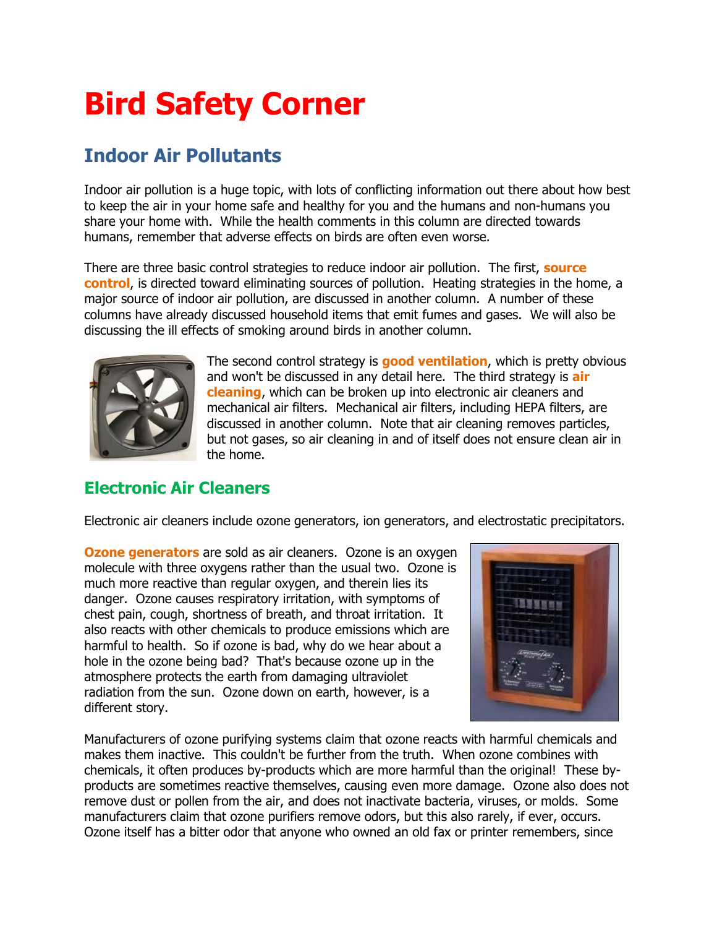## **Bird Safety Corner**

## **Indoor Air Pollutants**

Indoor air pollution is a huge topic, with lots of conflicting information out there about how best to keep the air in your home safe and healthy for you and the humans and non-humans you share your home with. While the health comments in this column are directed towards humans, remember that adverse effects on birds are often even worse.

There are three basic control strategies to reduce indoor air pollution. The first, **source control**, is directed toward eliminating sources of pollution. Heating strategies in the home, a major source of indoor air pollution, are discussed in another column. A number of these columns have already discussed household items that emit fumes and gases. We will also be discussing the ill effects of smoking around birds in another column.



The second control strategy is **good ventilation**, which is pretty obvious and won't be discussed in any detail here. The third strategy is **air cleaning**, which can be broken up into electronic air cleaners and mechanical air filters. Mechanical air filters, including HEPA filters, are discussed in another column. Note that air cleaning removes particles, but not gases, so air cleaning in and of itself does not ensure clean air in the home.

## **Electronic Air Cleaners**

Electronic air cleaners include ozone generators, ion generators, and electrostatic precipitators.

**Ozone generators** are sold as air cleaners. Ozone is an oxygen molecule with three oxygens rather than the usual two. Ozone is much more reactive than regular oxygen, and therein lies its danger. Ozone causes respiratory irritation, with symptoms of chest pain, cough, shortness of breath, and throat irritation. It also reacts with other chemicals to produce emissions which are harmful to health. So if ozone is bad, why do we hear about a hole in the ozone being bad? That's because ozone up in the atmosphere protects the earth from damaging ultraviolet radiation from the sun. Ozone down on earth, however, is a different story.



Manufacturers of ozone purifying systems claim that ozone reacts with harmful chemicals and makes them inactive. This couldn't be further from the truth. When ozone combines with chemicals, it often produces by-products which are more harmful than the original! These byproducts are sometimes reactive themselves, causing even more damage. Ozone also does not remove dust or pollen from the air, and does not inactivate bacteria, viruses, or molds. Some manufacturers claim that ozone purifiers remove odors, but this also rarely, if ever, occurs. Ozone itself has a bitter odor that anyone who owned an old fax or printer remembers, since